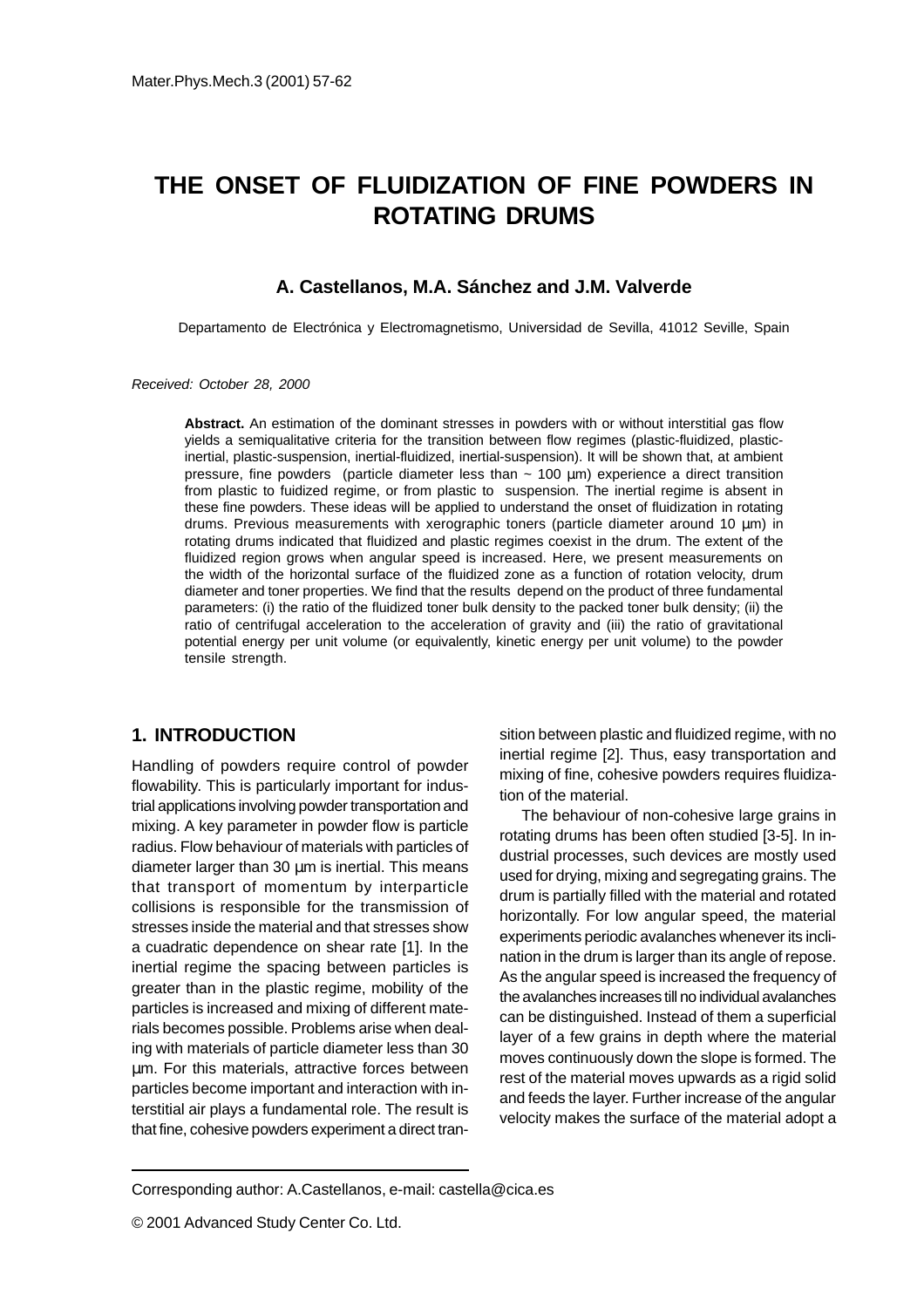# **THE ONSET OF FLUIDIZATION OF FINE POWDERS IN ROTATING DRUMS**

# **A. Castellanos, M.A. Sánchez and J.M. Valverde**

Departamento de Electrónica y Electromagnetismo, Universidad de Sevilla, 41012 Seville, Spain

Received: October 28, 2000

**Abstract.** An estimation of the dominant stresses in powders with or without interstitial gas flow yields a semiqualitative criteria for the transition between flow regimes (plastic-fluidized, plasticinertial, plastic-suspension, inertial-fluidized, inertial-suspension). It will be shown that, at ambient pressure, fine powders (particle diameter less than  $\sim$  100  $\mu$ m) experience a direct transition from plastic to fuidized regime, or from plastic to suspension. The inertial regime is absent in these fine powders. These ideas will be applied to understand the onset of fluidization in rotating drums. Previous measurements with xerographic toners (particle diameter around 10  $\mu$ m) in rotating drums indicated that fluidized and plastic regimes coexist in the drum. The extent of the fluidized region grows when angular speed is increased. Here, we present measurements on the width of the horizontal surface of the fluidized zone as a function of rotation velocity, drum diameter and toner properties. We find that the results depend on the product of three fundamental parameters: (i) the ratio of the fluidized toner bulk density to the packed toner bulk density; (ii) the ratio of centrifugal acceleration to the acceleration of gravity and (iii) the ratio of gravitational potential energy per unit volume (or equivalently, kinetic energy per unit volume) to the powder tensile strength.

#### **1. INTRODUCTION**

Handling of powders require control of powder flowability. This is particularly important for industrial applications involving powder transportation and mixing. A key parameter in powder flow is particle radius. Flow behaviour of materials with particles of diameter larger than 30 µm is inertial. This means that transport of momentum by interparticle collisions is responsible for the transmission of stresses inside the material and that stresses show a cuadratic dependence on shear rate [1]. In the inertial regime the spacing between particles is greater than in the plastic regime, mobility of the particles is increased and mixing of different materials becomes possible. Problems arise when dealing with materials of particle diameter less than 30 µm. For this materials, attractive forces between particles become important and interaction with interstitial air plays a fundamental role. The result is that fine, cohesive powders experiment a direct transition between plastic and fluidized regime, with no inertial regime [2]. Thus, easy transportation and mixing of fine, cohesive powders requires fluidization of the material.

The behaviour of non-cohesive large grains in rotating drums has been often studied [3-5]. In industrial processes, such devices are mostly used used for drying, mixing and segregating grains. The drum is partially filled with the material and rotated horizontally. For low angular speed, the material experiments periodic avalanches whenever its inclination in the drum is larger than its angle of repose. As the angular speed is increased the frequency of the avalanches increases till no individual avalanches can be distinguished. Instead of them a superficial layer of a few grains in depth where the material moves continuously down the slope is formed. The rest of the material moves upwards as a rigid solid and feeds the layer. Further increase of the angular velocity makes the surface of the material adopt a

Corresponding author: A.Castellanos, e-mail: castella@cica.es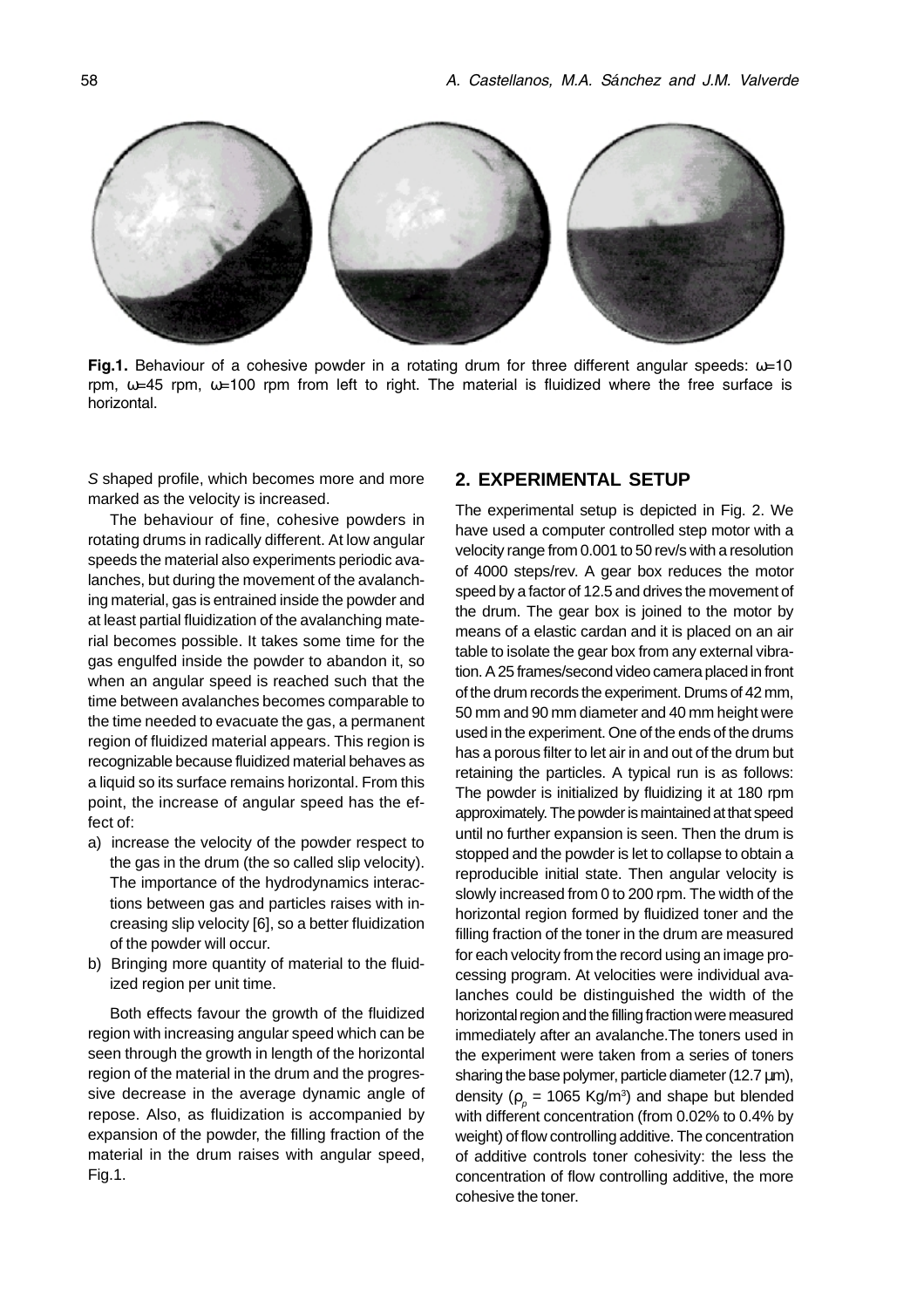

Fig.1. Behaviour of a cohesive powder in a rotating drum for three different angular speeds:  $\omega$ =10 rpm,  $\omega$ =45 rpm,  $\omega$ =100 rpm from left to right. The material is fluidized where the free surface is horizontal.

S shaped profile, which becomes more and more marked as the velocity is increased.

The behaviour of fine, cohesive powders in rotating drums in radically different. At low angular speeds the material also experiments periodic avalanches, but during the movement of the avalanching material, gas is entrained inside the powder and at least partial fluidization of the avalanching material becomes possible. It takes some time for the gas engulfed inside the powder to abandon it, so when an angular speed is reached such that the time between avalanches becomes comparable to the time needed to evacuate the gas, a permanent region of fluidized material appears. This region is recognizable because fluidized material behaves as a liquid so its surface remains horizontal. From this point, the increase of angular speed has the effect of:

- a) increase the velocity of the powder respect to the gas in the drum (the so called slip velocity). The importance of the hydrodynamics interactions between gas and particles raises with increasing slip velocity [6], so a better fluidization of the powder will occur.
- b) Bringing more quantity of material to the fluidized region per unit time.

Both effects favour the growth of the fluidized region with increasing angular speed which can be seen through the growth in length of the horizontal region of the material in the drum and the progressive decrease in the average dynamic angle of repose. Also, as fluidization is accompanied by expansion of the powder, the filling fraction of the material in the drum raises with angular speed, Fig.1.

#### **2. EXPERIMENTAL SETUP**

The experimental setup is depicted in Fig. 2. We have used a computer controlled step motor with a velocity range from 0.001 to 50 rev/s with a resolution of 4000 steps/rev. A gear box reduces the motor speed by a factor of 12.5 and drives the movement of the drum. The gear box is joined to the motor by means of a elastic cardan and it is placed on an air table to isolate the gear box from any external vibration. A 25 frames/second video camera placed in front of the drum records the experiment. Drums of 42 mm, 50 mm and 90 mm diameter and 40 mm height were used in the experiment. One of the ends of the drums has a porous filter to let air in and out of the drum but retaining the particles. A typical run is as follows: The powder is initialized by fluidizing it at 180 rpm approximately. The powder is maintained at that speed until no further expansion is seen. Then the drum is stopped and the powder is let to collapse to obtain a reproducible initial state. Then angular velocity is slowly increased from 0 to 200 rpm. The width of the horizontal region formed by fluidized toner and the filling fraction of the toner in the drum are measured for each velocity from the record using an image processing program. At velocities were individual avalanches could be distinguished the width of the horizontal region and the filling fraction were measured immediately after an avalanche.The toners used in the experiment were taken from a series of toners sharing the base polymer, particle diameter (12.7  $\mu$ m), density ( $\rho_{_{\rho}}$  = 1065 Kg/m<sup>3</sup>) and shape but blended with different concentration (from 0.02% to 0.4% by weight) of flow controlling additive. The concentration of additive controls toner cohesivity: the less the concentration of flow controlling additive, the more cohesive the toner.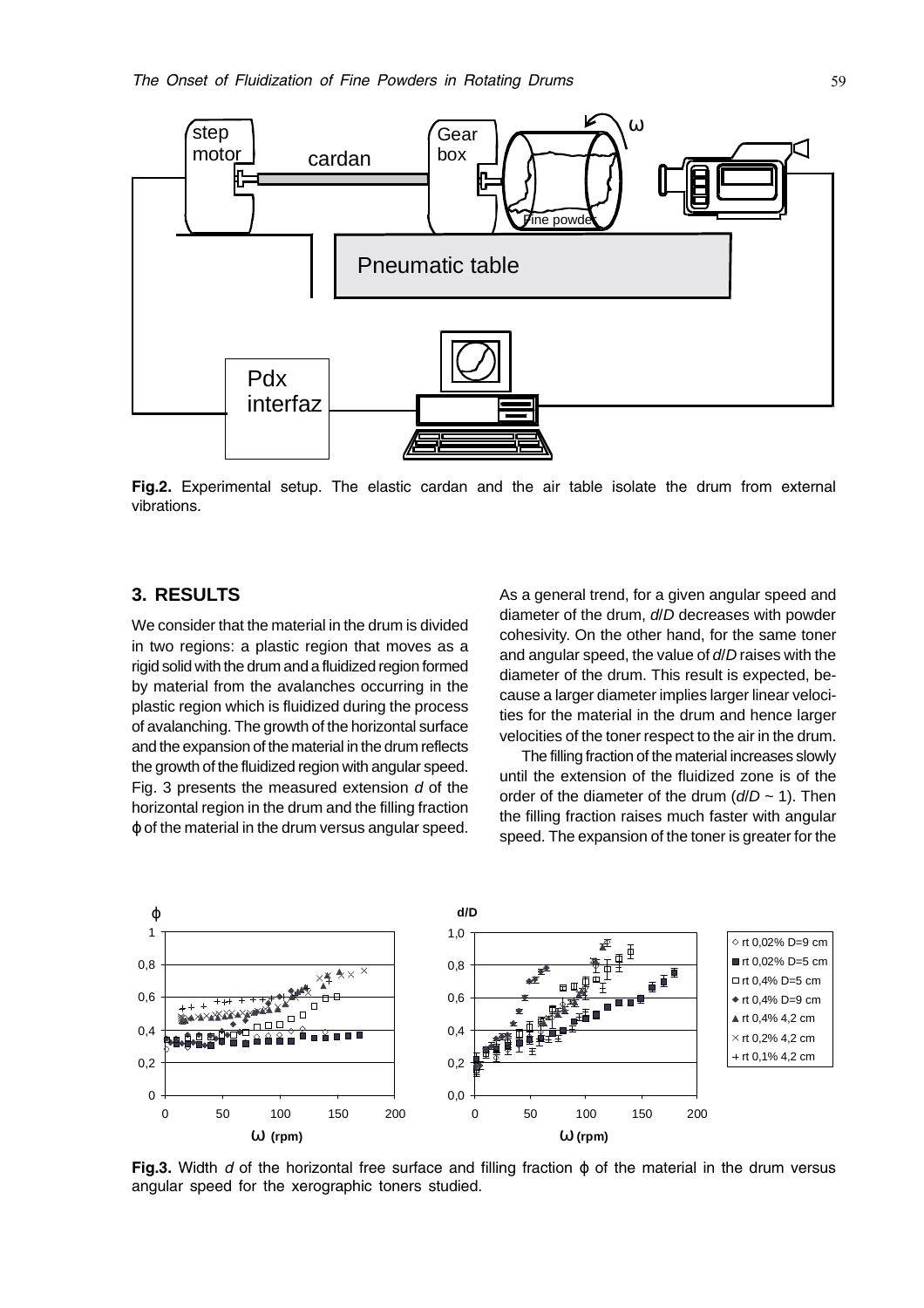

Fig.2. Experimental setup. The elastic cardan and the air table isolate the drum from external vibrations.

# **3. RESULTS**

We consider that the material in the drum is divided in two regions: a plastic region that moves as a rigid solid with the drum and a fluidized region formed by material from the avalanches occurring in the plastic region which is fluidized during the process of avalanching. The growth of the horizontal surface and the expansion of the material in the drum reflects the growth of the fluidized region with angular speed. Fig. 3 presents the measured extension  $d$  of the horizontal region in the drum and the filling fraction ϕ of the material in the drum versus angular speed.

As a general trend, for a given angular speed and diameter of the drum, d/D decreases with powder cohesivity. On the other hand, for the same toner and angular speed, the value of d/D raises with the diameter of the drum. This result is expected, because a larger diameter implies larger linear velocities for the material in the drum and hence larger velocities of the toner respect to the air in the drum.

The filling fraction of the material increases slowly until the extension of the fluidized zone is of the order of the diameter of the drum  $(d/D \sim 1)$ . Then the filling fraction raises much faster with angular speed. The expansion of the toner is greater for the



Fig.3. Width d of the horizontal free surface and filling fraction  $\varphi$  of the material in the drum versus angular speed for the xerographic toners studied.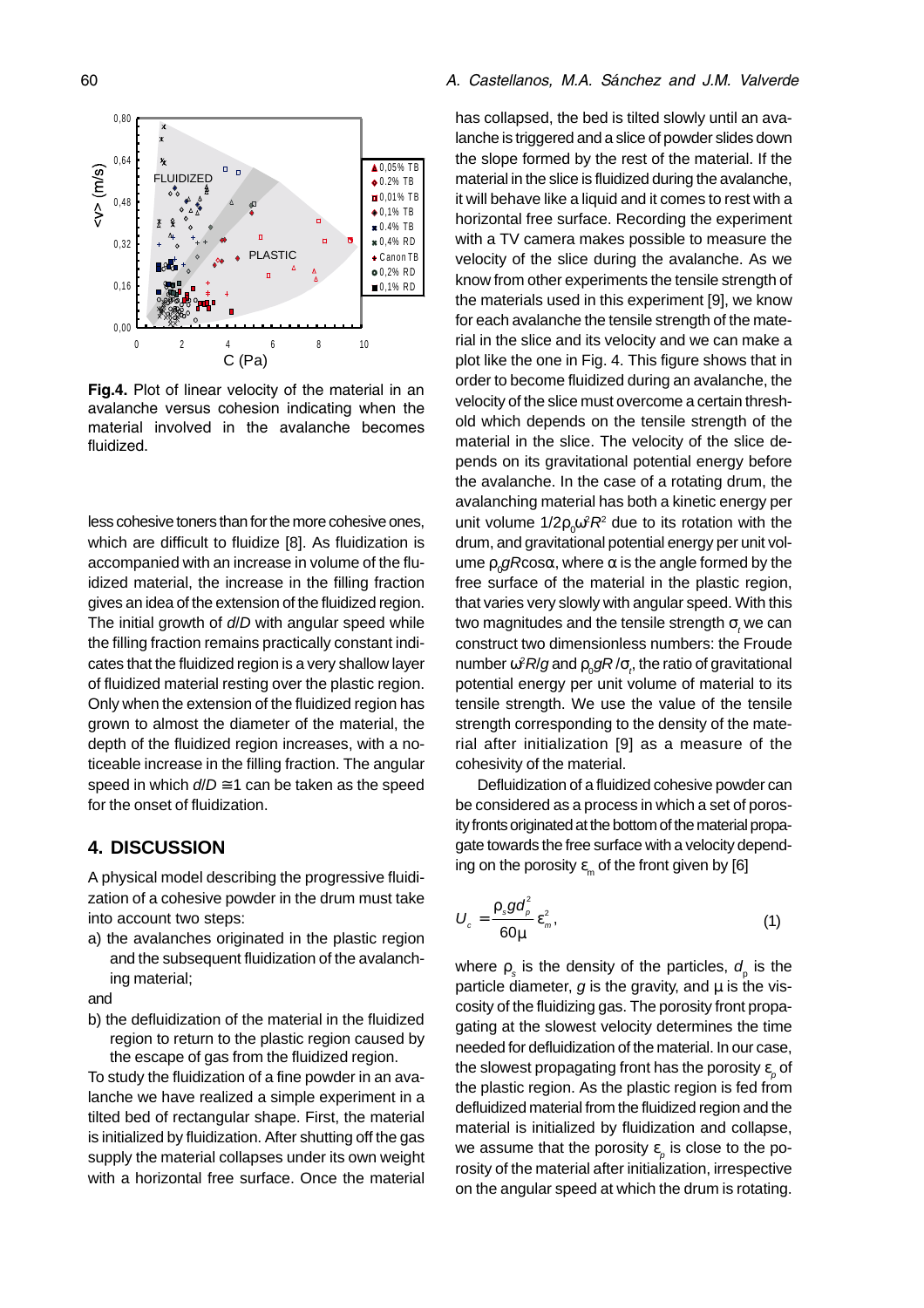

Fig.4. Plot of linear velocity of the material in an avalanche versus cohesion indicating when the material involved in the avalanche becomes fluidized.

less cohesive toners than for the more cohesive ones, which are difficult to fluidize [8]. As fluidization is accompanied with an increase in volume of the fluidized material, the increase in the filling fraction gives an idea of the extension of the fluidized region. The initial growth of  $d/D$  with angular speed while the filling fraction remains practically constant indicates that the fluidized region is a very shallow layer of fluidized material resting over the plastic region. Only when the extension of the fluidized region has grown to almost the diameter of the material, the depth of the fluidized region increases, with a noticeable increase in the filling fraction. The angular speed in which  $d/D \cong 1$  can be taken as the speed for the onset of fluidization.

### **4. DISCUSSION**

A physical model describing the progressive fluidization of a cohesive powder in the drum must take into account two steps:

a) the avalanches originated in the plastic region and the subsequent fluidization of the avalanching material;

and

b) the defluidization of the material in the fluidized region to return to the plastic region caused by the escape of gas from the fluidized region.

To study the fluidization of a fine powder in an avalanche we have realized a simple experiment in a tilted bed of rectangular shape. First, the material is initialized by fluidization. After shutting off the gas supply the material collapses under its own weight with a horizontal free surface. Once the material

#### %  á- !"

has collapsed, the bed is tilted slowly until an avalanche is triggered and a slice of powder slides down the slope formed by the rest of the material. If the material in the slice is fluidized during the avalanche, it will behave like a liquid and it comes to rest with a horizontal free surface. Recording the experiment with a TV camera makes possible to measure the velocity of the slice during the avalanche. As we know from other experiments the tensile strength of the materials used in this experiment [9], we know for each avalanche the tensile strength of the material in the slice and its velocity and we can make a plot like the one in Fig. 4. This figure shows that in order to become fluidized during an avalanche, the velocity of the slice must overcome a certain threshold which depends on the tensile strength of the material in the slice. The velocity of the slice depends on its gravitational potential energy before the avalanche. In the case of a rotating drum, the avalanching material has both a kinetic energy per unit volume 1/2 $\rho_{_0}$ ω $^2$ R $^2$  due to its rotation with the drum, and gravitational potential energy per unit volume  $\mathsf{p}_{\scriptscriptstyle 0}$ gRcosα, where α is the angle formed by the free surface of the material in the plastic region, that varies very slowly with angular speed. With this two magnitudes and the tensile strength  $\sigma_{_{\!I}}$ we can construct two dimensionless numbers: the Froude number  $\omega^2$ *R*/ $g$  and  $\rho_{_0}$ g/ $R/\sigma_{_{\rho}}$ , the ratio of gravitational potential energy per unit volume of material to its tensile strength. We use the value of the tensile strength corresponding to the density of the material after initialization [9] as a measure of the cohesivity of the material.

Defluidization of a fluidized cohesive powder can be considered as a process in which a set of porosity fronts originated at the bottom of the material propagate towards the free surface with a velocity depending on the porosity  $\varepsilon_m$  of the front given by [6]

$$
U_c = \frac{\rho_s g d_\rho^2}{60\mu} \varepsilon_m^2, \tag{1}
$$

where  $\rho_{s}$  is the density of the particles,  $d_{\rho}^{\phantom{\dag}}$  is the particle diameter,  $g$  is the gravity, and  $\mu$  is the viscosity of the fluidizing gas. The porosity front propagating at the slowest velocity determines the time needed for defluidization of the material. In our case, the slowest propagating front has the porosity  $\mathbf{\epsilon}_{_{\bm{\rho}}}$  of the plastic region. As the plastic region is fed from defluidized material from the fluidized region and the material is initialized by fluidization and collapse, we assume that the porosity  $\varepsilon_{_{\!P}}$  is close to the porosity of the material after initialization, irrespective on the angular speed at which the drum is rotating.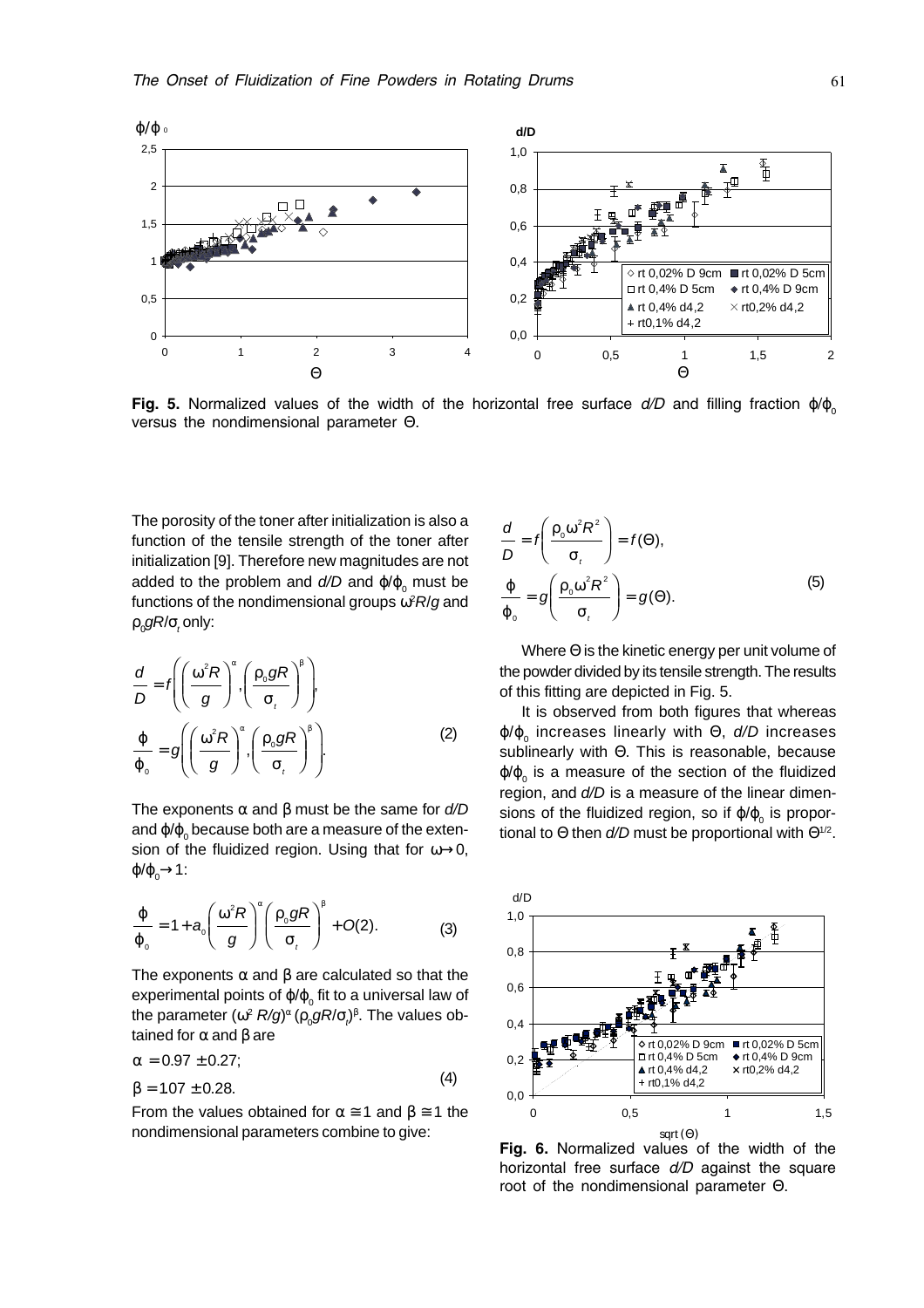

Fig. 5. Normalized values of the width of the horizontal free surface  $d/D$  and filling fraction  $\phi/\phi_{0}$ versus the nondimensional parameter  $\Theta$ .

The porosity of the toner after initialization is also a function of the tensile strength of the toner after initialization [9]. Therefore new magnitudes are not added to the problem and  $d/D$  and  $\phi/\phi_{_0}$  must be functions of the nondimensional groups  $\omega \textsuperscript{2} R\textsuperscript{}/g$  and  $\rho_{_0}$ gR/ $\sigma_{_t}$ only:

$$
\frac{d}{D} = f\left(\left(\frac{\omega^2 R}{g}\right)^{\alpha}, \left(\frac{\rho_0 g R}{\sigma_t}\right)^{\beta}\right),\newline \frac{\varphi}{\varphi_0} = g\left(\left(\frac{\omega^2 R}{g}\right)^{\alpha}, \left(\frac{\rho_0 g R}{\sigma_t}\right)^{\beta}\right).
$$
\n(2)

The exponents  $\alpha$  and  $\beta$  must be the same for  $d/D$ and  $\frak{q}/\frak{q}_0$  because both are a measure of the extension of the fluidized region. Using that for  $\omega \rightarrow 0$ ,  $\varphi/\varphi_0$   $\rightarrow$  1:

$$
\frac{\varphi}{\varphi_0} = 1 + a_0 \left( \frac{\omega^2 R}{g} \right)^{\alpha} \left( \frac{\rho_0 g R}{\sigma_t} \right)^{\beta} + O(2). \tag{3}
$$

The exponents  $\alpha$  and  $\beta$  are calculated so that the experimental points of  $\phi/\phi_{_0}$  fit to a universal law of the parameter (ω<sup>2</sup> R/g) <sup>α</sup> (ρ<sup>0</sup> gR/σ<sup>t</sup> )β . The values obtained for  $α$  and  $β$  are

$$
\alpha = 0.97 \pm 0.27; \beta = 1.07 \pm 0.28.
$$
\n(4)

From the values obtained for  $\alpha \approx 1$  and  $\beta \approx 1$  the nondimensional parameters combine to give:

$$
\frac{d}{D} = f\left(\frac{\rho_0 \omega^2 R^2}{\sigma_t}\right) = f(\Theta),
$$
\n
$$
\frac{\varphi}{\varphi_0} = g\left(\frac{\rho_0 \omega^2 R^2}{\sigma_t}\right) = g(\Theta).
$$
\n(5)

Where Θ is the kinetic energy per unit volume of the powder divided by its tensile strength. The results of this fitting are depicted in Fig. 5.

It is observed from both figures that whereas φ/φ<sub>0</sub> increases linearly with Θ, d/D increases sublinearly with Θ. This is reasonable, because φ/φ<sub>0</sub> is a measure of the section of the fluidized region, and  $d/D$  is a measure of the linear dimensions of the fluidized region, so if  $\phi/\phi_{\rm o}$  is proportional to  $\Theta$  then  $d/D$  must be proportional with  $\Theta^{1/2}$ .



Fig. 6. Normalized values of the width of the horizontal free surface d/D against the square root of the nondimensional parameter Θ.